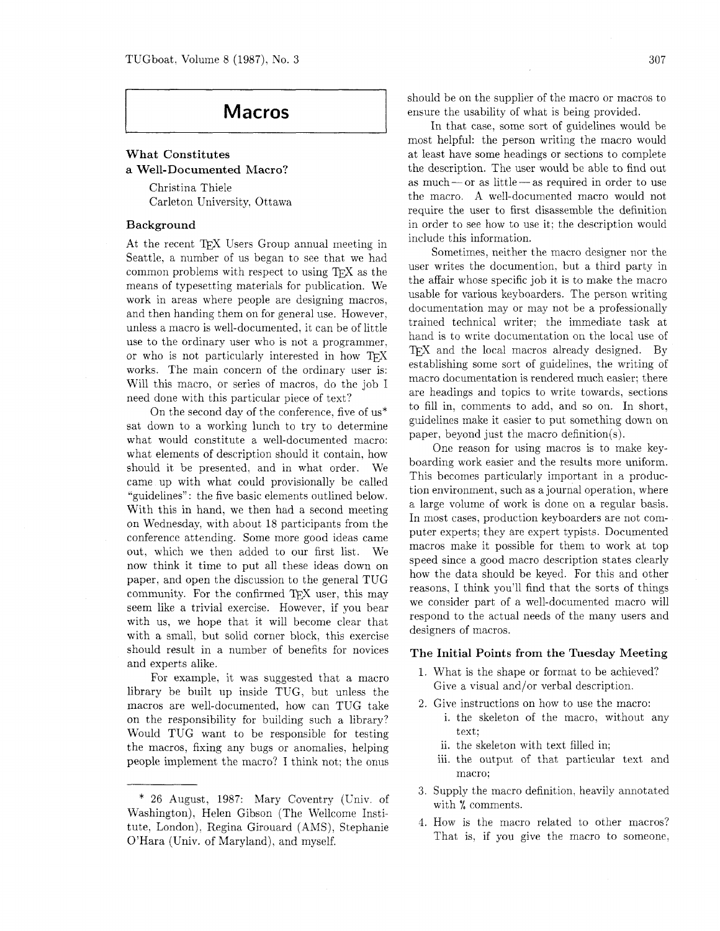# **Macros**

# What Constitutes a Well-Documented Macro?

Christina Thiele Carleton University, Ottawa

### Background

At the recent TFX Users Group annual meeting in Seattle. a number of us began to see that we had common problems with respect to using  $T\not\!\!F X$  as the means of typesetting materials for publication. We work in areas where people are designing macros, and then handing them on for general use. However, unless a macro is well-documented. it can be of little use to the ordinary user who is not a programmer. or who is not particularly interested in how  $T_F X$ works. The main concern of the ordinary user is: Will this macro. or series of macros. do the job I need done with this particular piece of text?

On the second day of the conference. five of us\* sat down to a working lunch to try to determine what would constitute a well-documented macro: what elements of description should it contain. how should it be presented. and in what order. We came up with what could provisionally be called "guidelines": the five basic elements outlined below. With this in hand, we then had a second meeting on Wednesday. with about 18 participants from the conference attending. Some more good ideas came out, which we then added to our first list. We now think it time to put all these ideas down on paper, and open the discussion to the general TUG community. For the confirmed TFX user, this may seem like a trivial exercise. However, if you bear with us, we hope that it will become clear that with a small. but solid corner block. this exercise should result in a number of benefits for novices and experts alike.

For example. it was suggested that a macro library be built up inside TUG, but unless the macros are well-documented. how can TUG take on the responsibility for building such a library? Would TUG want to be responsible for testing the macros, fixing any bugs or anomalies. helping people implement the macro? I think not: the onus

should be on the supplier of the macro or macros to ensure the usability of what is being provided.

In that case. some sort of guidelines would be most helpful: the person writing the macro would at least have some headings or sections to complete the description. The user would be able to find out as much- or as little - as required in order to use the macro. A we!l-documented macro would not require the user to first disassemble the definition in order to see how to use it: the description would include this information.

Sometimes, neither the macro designer nor the user writes the documention, but a third party in the affair whose specific job it is to make the macro usable for various keyboarders. The person writing documentation may or may not be a professionally trained technical writer: the immediate task at hand is to write documentation on the local use of TEX and the local macros already designed. By establishing some sort of guidelines, the writing of macro documentation is rendered much easier; there are headings and topics to write towards, sections to fill in, comments to add. and so on. In short, guidelines make it easier to put something down on paper, beyond just the macro definition(s).

One reason for using macros is to make keyboarding work easier and the results more uniform. This becomes particularly important in a production environment. such as a journal operation, where a large volume of work is done on a regular basis. In most cases, production keyboarders are not computer experts; they are expert typists. Documented macros make it possible for them to work at top speed since a good macro description states clearly how the data should be keyed. For this and other reasons. I think you'll find that the sorts of things we consider part of a well-documented macro will respond to the actual needs of the many users and designers of macros.

#### The Initial Points from the Tuesday Meeting

- What is the shape or format to be achieved? Give a visual and/or verbal description.
- 2. Give instructions on how to use the macro:
	- i. the skeleton of the macro, without any text:
	- ii. the skeleton with text filled in;
	- iii. the output of that particular text and macro:
- Supply the macro definition, heavily annotated with % comments.
- 4. How is the macro related to other macros? That is, if you give the macro to someone,

<sup>\*</sup> 26 August, 1987: Mary Coventry (Univ. of Washington), Helen Gibson (The Wellcome Institute, London), Regina Girouard (AMS), Stephanie O'Hara (Univ. of Maryland), and myself.